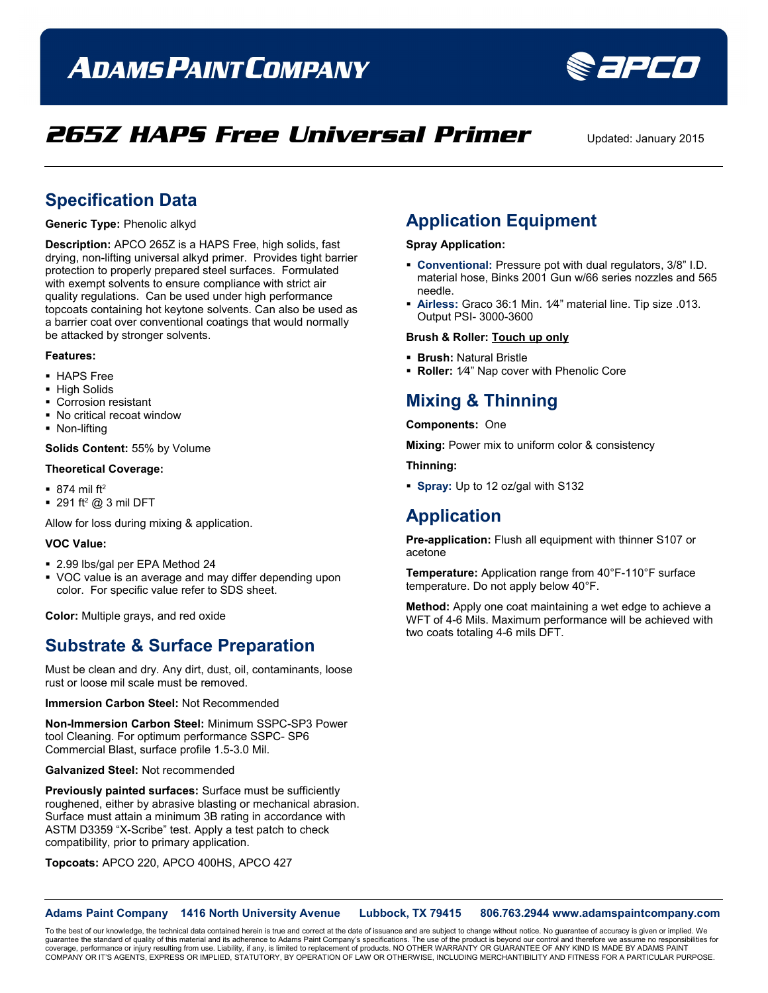# **ADAMS PAINT COMPANY**



## **265Z HAPS Free Universal Primer** Updated: January 2015

### **Specification Data**

**Generic Type:** Phenolic alkyd

**Description:** APCO 265Z is a HAPS Free, high solids, fast drying, non-lifting universal alkyd primer. Provides tight barrier protection to properly prepared steel surfaces. Formulated with exempt solvents to ensure compliance with strict air quality regulations. Can be used under high performance topcoats containing hot keytone solvents. Can also be used as a barrier coat over conventional coatings that would normally be attacked by stronger solvents.

#### **Features:**

- HAPS Free
- **High Solids**
- Corrosion resistant
- No critical recoat window
- **Non-lifting**

**Solids Content:** 55% by Volume

#### **Theoretical Coverage:**

- $\blacksquare$  874 mil ft<sup>2</sup>
- $\blacksquare$  291 ft<sup>2</sup> @ 3 mil DFT

Allow for loss during mixing & application.

#### **VOC Value:**

- 2.99 lbs/gal per EPA Method 24
- VOC value is an average and may differ depending upon color. For specific value refer to SDS sheet.

**Color:** Multiple grays, and red oxide

### **Substrate & Surface Preparation**

Must be clean and dry. Any dirt, dust, oil, contaminants, loose rust or loose mil scale must be removed.

**Immersion Carbon Steel:** Not Recommended

**Non-Immersion Carbon Steel:** Minimum SSPC-SP3 Power tool Cleaning. For optimum performance SSPC- SP6 Commercial Blast, surface profile 1.5-3.0 Mil.

**Galvanized Steel:** Not recommended

**Previously painted surfaces:** Surface must be sufficiently roughened, either by abrasive blasting or mechanical abrasion. Surface must attain a minimum 3B rating in accordance with ASTM D3359 "X-Scribe" test. Apply a test patch to check compatibility, prior to primary application.

**Topcoats:** APCO 220, APCO 400HS, APCO 427

### **Application Equipment**

**Spray Application:**

- **Conventional:** Pressure pot with dual regulators, 3/8" I.D. material hose, Binks 2001 Gun w/66 series nozzles and 565 needle.
- **Airless:** Graco 36:1 Min. 1⁄4" material line. Tip size .013. Output PSI- 3000-3600

#### **Brush & Roller: Touch up only**

- **Brush:** Natural Bristle
- **Roller:** 1⁄4" Nap cover with Phenolic Core

### **Mixing & Thinning**

**Components:** One

**Mixing:** Power mix to uniform color & consistency

**Thinning:**

**Spray:** Up to 12 oz/gal with S132

### **Application**

**Pre-application:** Flush all equipment with thinner S107 or acetone

**Temperature:** Application range from 40°F-110°F surface temperature. Do not apply below 40°F.

**Method:** Apply one coat maintaining a wet edge to achieve a WFT of 4-6 Mils. Maximum performance will be achieved with two coats totaling 4-6 mils DFT.

**Adams Paint Company 1416 North University Avenue Lubbock, TX 79415 806.763.2944 www.adamspaintcompany.com**

To the best of our knowledge, the technical data contained herein is true and correct at the date of issuance and are subject to change without notice. No guarantee of accuracy is given or implied. We<br>quarantee the standar guarantee the standard of quality of this material and its adherence to Adams Paint Company's specifications. The use of the product is beyond our control and therefore we as coverage, performance or injury resulting from use. Liability, if any, is limited to replacement of products. NO OTHER WARRANTY OR GUARANTEE OF ANY KIND IS MADE BY ADAMS PAINT<br>COMPANY OR IT'S AGENTS, EXPRESS OR IMPLIED, ST